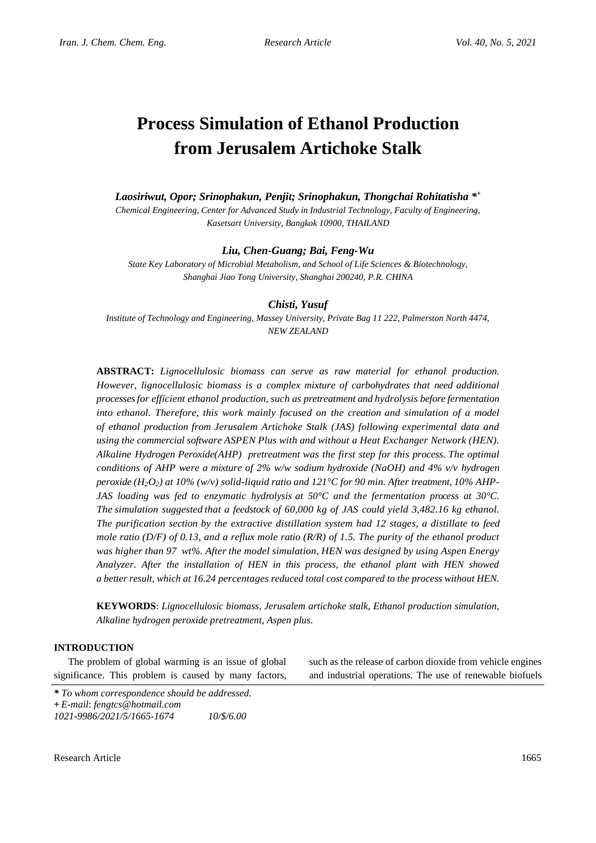# **Process Simulation of Ethanol Production from Jerusalem Artichoke Stalk**

*Laosiriwut, Opor; Srinophakun, Penjit; Srinophakun, Thongchai Rohitatisha \* + Chemical Engineering, Center for Advanced Study in Industrial Technology, Faculty of Engineering, Kasetsart University, Bangkok 10900, THAILAND*

## *Liu, Chen-Guang; Bai, Feng-Wu*

*State Key Laboratory of Microbial Metabolism, and School of Life Sciences & Biotechnology, Shanghai Jiao Tong University, Shanghai 200240, P.R. CHINA*

#### *Chisti, Yusuf*

*Institute of Technology and Engineering, Massey University, Private Bag 11 222, Palmerston North 4474, NEW ZEALAND*

**ABSTRACT:** *Lignocellulosic biomass can serve as raw material for ethanol production. However, lignocellulosic biomass is a complex mixture of carbohydrates that need additional processes for efficient ethanol production, such as pretreatment and hydrolysis before fermentation into ethanol. Therefore, this work mainly focused on the creation and simulation of a model of ethanol production from Jerusalem Artichoke Stalk (JAS) following experimental data and using the commercial software ASPEN Plus with and without a Heat Exchanger Network (HEN). Alkaline Hydrogen Peroxide(AHP) pretreatment was the first step for this process. The optimal conditions of AHP were a mixture of 2% w/w sodium hydroxide (NaOH) and 4% v/v hydrogen peroxide (H2O2) at 10% (w/v) solid-liquid ratio and 121°C for 90 min. After treatment, 10% AHP-JAS loading was fed to enzymatic hydrolysis at 50°C and the fermentation process at 30°C. The simulation suggested that a feedstock of 60,000 kg of JAS could yield 3,482.16 kg ethanol. The purification section by the extractive distillation system had 12 stages, a distillate to feed mole ratio (D/F) of 0.13, and a reflux mole ratio (R/R) of 1.5. The purity of the ethanol product was higher than 97 wt%. After the model simulation, HEN was designed by using Aspen Energy Analyzer. After the installation of HEN in this process, the ethanol plant with HEN showed a better result, which at 16.24 percentages reduced total cost compared to the process without HEN.*

**KEYWORDS**: *Lignocellulosic biomass, Jerusalem artichoke stalk, Ethanol production simulation, Alkaline hydrogen peroxide pretreatment, Aspen plus.*

## **INTRODUCTION**

The problem of global warming is an issue of global significance. This problem is caused by many factors,

such as the release of carbon dioxide from vehicle engines and industrial operations. The use of renewable biofuels

*\* To whom correspondence should be addressed.* **+** *E-mail*: *fengtcs@hotmail.com 1021-9986/2021/5/1665-1674 10/\$/6.00*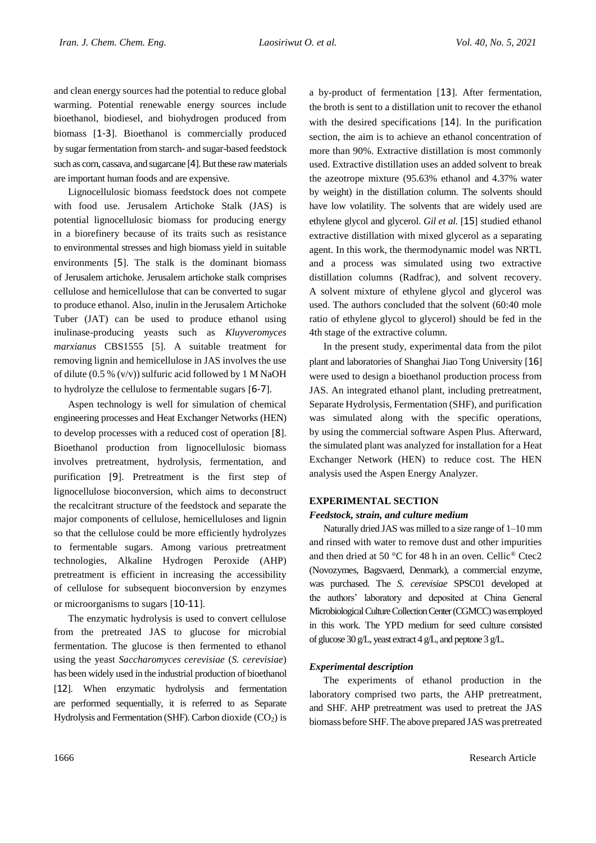and clean energy sources had the potential to reduce global warming. Potential renewable energy sources include bioethanol, biodiesel, and biohydrogen produced from biomass [1-3]. Bioethanol is commercially produced by sugar fermentation from starch- and sugar-based feedstock such as corn, cassava, and sugarcane [4]. But these raw materials are important human foods and are expensive.

Lignocellulosic biomass feedstock does not compete with food use. Jerusalem Artichoke Stalk (JAS) is potential lignocellulosic biomass for producing energy in a biorefinery because of its traits such as resistance to environmental stresses and high biomass yield in suitable environments [5]. The stalk is the dominant biomass of Jerusalem artichoke. Jerusalem artichoke stalk comprises cellulose and hemicellulose that can be converted to sugar to produce ethanol. Also, inulin in the Jerusalem Artichoke Tuber (JAT) can be used to produce ethanol using inulinase-producing yeasts such as *Kluyveromyces marxianus* CBS1555 [5]. A suitable treatment for removing lignin and hemicellulose in JAS involves the use of dilute (0.5 % (v/v)) sulfuric acid followed by 1 M NaOH to hydrolyze the cellulose to fermentable sugars [6-7].

Aspen technology is well for simulation of chemical engineering processes and Heat Exchanger Networks (HEN) to develop processes with a reduced cost of operation [8]. Bioethanol production from lignocellulosic biomass involves pretreatment, hydrolysis, fermentation, and purification [9]. Pretreatment is the first step of lignocellulose bioconversion, which aims to deconstruct the recalcitrant structure of the feedstock and separate the major components of cellulose, hemicelluloses and lignin so that the cellulose could be more efficiently hydrolyzes to fermentable sugars. Among various pretreatment technologies, Alkaline Hydrogen Peroxide (AHP) pretreatment is efficient in increasing the accessibility of cellulose for subsequent bioconversion by enzymes or microorganisms to sugars [10-11].

The enzymatic hydrolysis is used to convert cellulose from the pretreated JAS to glucose for microbial fermentation. The glucose is then fermented to ethanol using the yeast *Saccharomyces cerevisiae* (*S. cerevisiae*) has been widely used in the industrial production of bioethanol [12]. When enzymatic hydrolysis and fermentation are performed sequentially, it is referred to as Separate Hydrolysis and Fermentation (SHF). Carbon dioxide  $(CO<sub>2</sub>)$  is a by-product of fermentation [13]. After fermentation, the broth is sent to a distillation unit to recover the ethanol with the desired specifications [14]. In the purification section, the aim is to achieve an ethanol concentration of more than 90%. Extractive distillation is most commonly used. Extractive distillation uses an added solvent to break the azeotrope mixture (95.63% ethanol and 4.37% water by weight) in the distillation column. The solvents should have low volatility. The solvents that are widely used are ethylene glycol and glycerol. *Gil et al.* [15] studied ethanol extractive distillation with mixed glycerol as a separating agent. In this work, the thermodynamic model was NRTL and a process was simulated using two extractive distillation columns (Radfrac), and solvent recovery. A solvent mixture of ethylene glycol and glycerol was used. The authors concluded that the solvent (60:40 mole ratio of ethylene glycol to glycerol) should be fed in the 4th stage of the extractive column.

In the present study, experimental data from the pilot plant and laboratories of Shanghai Jiao Tong University [16] were used to design a bioethanol production process from JAS. An integrated ethanol plant, including pretreatment, Separate Hydrolysis, Fermentation (SHF), and purification was simulated along with the specific operations, by using the commercial software Aspen Plus. Afterward, the simulated plant was analyzed for installation for a Heat Exchanger Network (HEN) to reduce cost. The HEN analysis used the Aspen Energy Analyzer.

# **EXPERIMENTAL SECTION**

# *Feedstock, strain, and culture medium*

Naturally dried JAS was milled to a size range of 1–10 mm and rinsed with water to remove dust and other impurities and then dried at 50 °C for 48 h in an oven. Cellic® Ctec2 (Novozymes, Bagsvaerd, Denmark), a commercial enzyme, was purchased. The *S. cerevisiae* SPSC01 developed at the authors' laboratory and deposited at China General Microbiological Culture Collection Center (CGMCC) was employed in this work. The YPD medium for seed culture consisted of glucose 30 g/L, yeast extract 4 g/L, and peptone 3 g/L.

# *Experimental description*

The experiments of ethanol production in the laboratory comprised two parts, the AHP pretreatment, and SHF. AHP pretreatment was used to pretreat the JAS biomass before SHF. The above prepared JAS was pretreated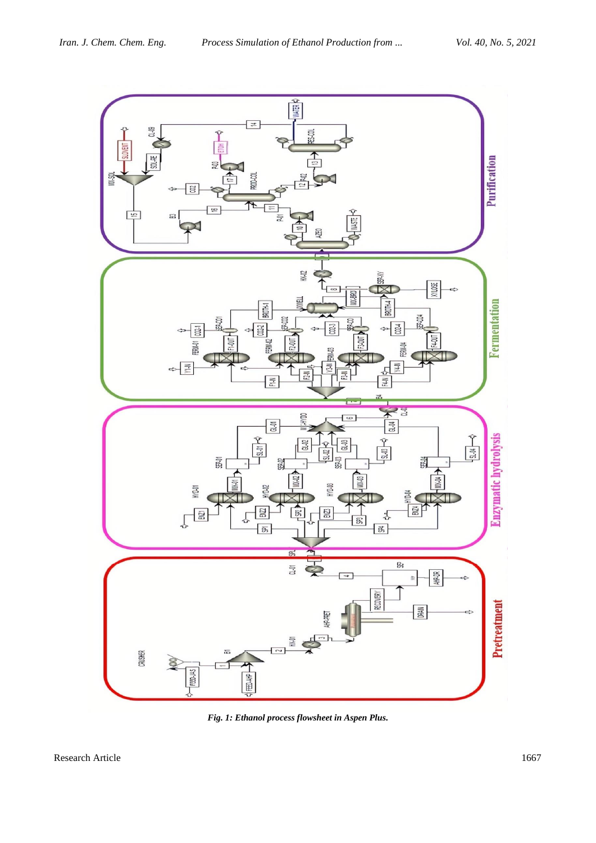

*Fig. 1: Ethanol process flowsheet in Aspen Plus.*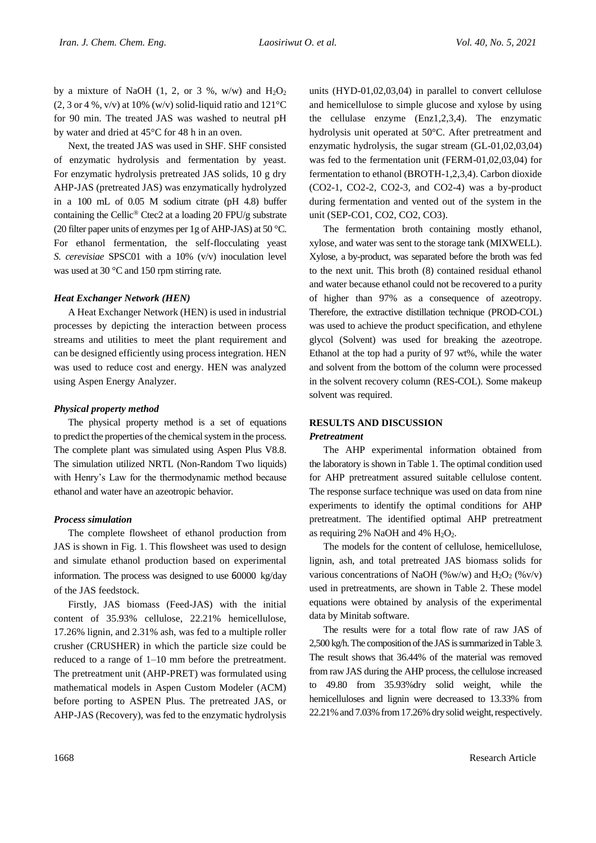by a mixture of NaOH (1, 2, or 3 %, w/w) and  $H_2O_2$ (2, 3 or 4 %, v/v) at 10% (w/v) solid-liquid ratio and  $121^{\circ}$ C for 90 min. The treated JAS was washed to neutral pH by water and dried at 45°C for 48 h in an oven.

Next, the treated JAS was used in SHF. SHF consisted of enzymatic hydrolysis and fermentation by yeast. For enzymatic hydrolysis pretreated JAS solids, 10 g dry AHP-JAS (pretreated JAS) was enzymatically hydrolyzed in a 100 mL of 0.05 M sodium citrate (pH 4.8) buffer containing the Cellic® Ctec2 at a loading 20 FPU/g substrate (20 filter paper units of enzymes per 1g of AHP-JAS) at 50 °C. For ethanol fermentation, the self-flocculating yeast *S. cerevisiae* SPSC01 with a 10% (v/v) inoculation level was used at 30 °C and 150 rpm stirring rate.

## *Heat Exchanger Network (HEN)*

A Heat Exchanger Network (HEN) is used in industrial processes by depicting the interaction between process streams and utilities to meet the plant requirement and can be designed efficiently using process integration. HEN was used to reduce cost and energy. HEN was analyzed using Aspen Energy Analyzer.

## *Physical property method*

The physical property method is a set of equations to predict the properties of the chemical system in the process. The complete plant was simulated using Aspen Plus V8.8. The simulation utilized NRTL (Non-Random Two liquids) with Henry's Law for the thermodynamic method because ethanol and water have an azeotropic behavior.

# *Process simulation*

The complete flowsheet of ethanol production from JAS is shown in Fig. 1. This flowsheet was used to design and simulate ethanol production based on experimental information. The process was designed to use 60000 kg/day of the JAS feedstock.

Firstly, JAS biomass (Feed-JAS) with the initial content of 35.93% cellulose, 22.21% hemicellulose, 17.26% lignin, and 2.31% ash, was fed to a multiple roller crusher (CRUSHER) in which the particle size could be reduced to a range of 1–10 mm before the pretreatment. The pretreatment unit (AHP-PRET) was formulated using mathematical models in Aspen Custom Modeler (ACM) before porting to ASPEN Plus. The pretreated JAS, or AHP-JAS (Recovery), was fed to the enzymatic hydrolysis

units (HYD-01,02,03,04) in parallel to convert cellulose and hemicellulose to simple glucose and xylose by using the cellulase enzyme (Enz1,2,3,4). The enzymatic hydrolysis unit operated at 50°C. After pretreatment and enzymatic hydrolysis, the sugar stream (GL-01,02,03,04) was fed to the fermentation unit (FERM-01,02,03,04) for fermentation to ethanol (BROTH-1,2,3,4). Carbon dioxide (CO2-1, CO2-2, CO2-3, and CO2-4) was a by-product during fermentation and vented out of the system in the unit (SEP-CO1, CO2, CO2, CO3).

The fermentation broth containing mostly ethanol, xylose, and water was sent to the storage tank (MIXWELL). Xylose, a by-product, was separated before the broth was fed to the next unit. This broth (8) contained residual ethanol and water because ethanol could not be recovered to a purity of higher than 97% as a consequence of azeotropy. Therefore, the extractive distillation technique (PROD-COL) was used to achieve the product specification, and ethylene glycol (Solvent) was used for breaking the azeotrope. Ethanol at the top had a purity of 97 wt%, while the water and solvent from the bottom of the column were processed in the solvent recovery column (RES-COL). Some makeup solvent was required.

# **RESULTS AND DISCUSSION**

## *Pretreatment*

The AHP experimental information obtained from the laboratory is shown in Table 1. The optimal condition used for AHP pretreatment assured suitable cellulose content. The response surface technique was used on data from nine experiments to identify the optimal conditions for AHP pretreatment. The identified optimal AHP pretreatment as requiring 2% NaOH and 4%  $H_2O_2$ .

The models for the content of cellulose, hemicellulose, lignin, ash, and total pretreated JAS biomass solids for various concentrations of NaOH (%w/w) and H<sub>2</sub>O<sub>2</sub> (%v/v) used in pretreatments, are shown in Table 2. These model equations were obtained by analysis of the experimental data by Minitab software.

The results were for a total flow rate of raw JAS of 2,500 kg/h. The composition of the JAS is summarized in Table 3. The result shows that 36.44% of the material was removed from raw JAS during the AHP process, the cellulose increased to 49.80 from 35.93%dry solid weight, while the hemicelluloses and lignin were decreased to 13.33% from 22.21% and 7.03% from 17.26% dry solid weight, respectively.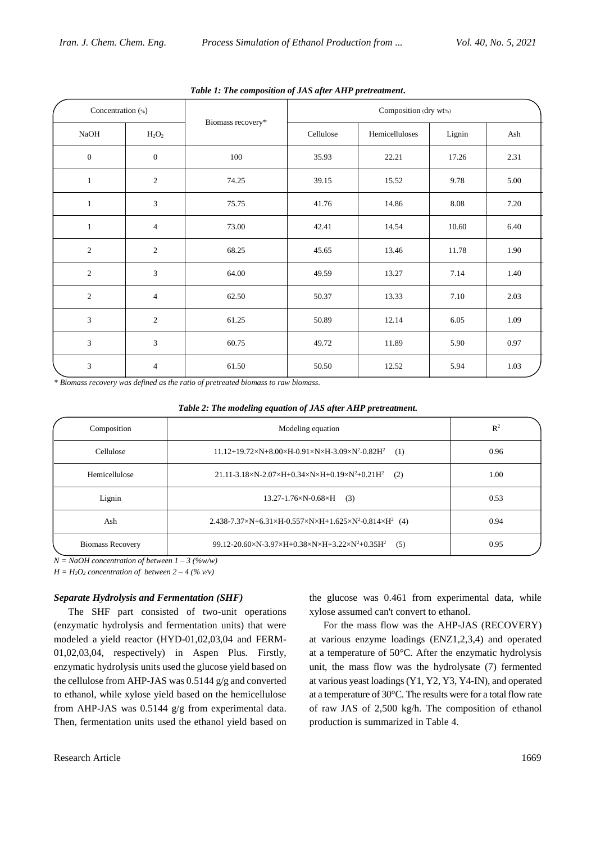| Concentration (%) |                |                   | Composition (dry wt%) |                |          |          |
|-------------------|----------------|-------------------|-----------------------|----------------|----------|----------|
| <b>NaOH</b>       | $H_2O_2$       | Biomass recovery* | Cellulose             | Hemicelluloses | Lignin   | Ash      |
| $\boldsymbol{0}$  | $\mathbf{0}$   | 100               | 35.93                 | 22.21          | 17.26    | 2.31     |
| $\mathbf{1}$      | $\sqrt{2}$     | 74.25             | 39.15                 | 15.52          | 9.78     | $5.00\,$ |
| $\mathbf{1}$      | 3              | 75.75             | 41.76                 | 14.86          | 8.08     | 7.20     |
| $\mathbf{1}$      | $\overline{4}$ | 73.00             | 42.41                 | 14.54          | 10.60    | 6.40     |
| $\overline{2}$    | $\overline{2}$ | 68.25             | 45.65                 | 13.46          | 11.78    | 1.90     |
| $\overline{2}$    | 3              | 64.00             | 49.59                 | 13.27          | 7.14     | 1.40     |
| 2                 | $\overline{4}$ | 62.50             | 50.37                 | 13.33          | $7.10\,$ | 2.03     |
| 3                 | $\overline{2}$ | 61.25             | 50.89                 | 12.14          | 6.05     | 1.09     |
| 3                 | 3              | 60.75             | 49.72                 | 11.89          | 5.90     | 0.97     |
| 3                 | $\overline{4}$ | 61.50             | 50.50                 | 12.52          | 5.94     | 1.03     |

*Table 1: The composition of JAS after AHP pretreatment***.**

*\* Biomass recovery was defined as the ratio of pretreated biomass to raw biomass.*

| Table 2: The modeling equation of JAS after AHP pretreatment. |
|---------------------------------------------------------------|
|---------------------------------------------------------------|

| Composition             | Modeling equation                                                                                           | $R^2$ |
|-------------------------|-------------------------------------------------------------------------------------------------------------|-------|
| Cellulose               | $11.12+19.72\times N+8.00\times H-0.91\times N\times H-3.09\times N^2-0.82H^2$<br>(1)                       | 0.96  |
| Hemicellulose           | $21.11 - 3.18 \times N - 2.07 \times H + 0.34 \times N \times H + 0.19 \times N^2 + 0.21 H^2$<br>(2)        | 1.00  |
| Lignin                  | $13.27 - 1.76 \times N - 0.68 \times H$ (3)                                                                 | 0.53  |
| Ash                     | $2.438 - 7.37 \times N + 6.31 \times H - 0.557 \times N \times H + 1.625 \times N^2 - 0.814 \times H^2$ (4) | 0.94  |
| <b>Biomass Recovery</b> | 99.12-20.60×N-3.97×H+0.38×N×H+3.22×N <sup>2</sup> +0.35H <sup>2</sup><br>(5)                                | 0.95  |

 $N = NaOH$  concentration of between  $1 - 3$  (%w/w)

 $H = H<sub>2</sub>O<sub>2</sub>$  *concentration of between*  $2 - 4$  (% v/v)

# *Separate Hydrolysis and Fermentation (SHF)*

The SHF part consisted of two-unit operations (enzymatic hydrolysis and fermentation units) that were modeled a yield reactor (HYD-01,02,03,04 and FERM-01,02,03,04, respectively) in Aspen Plus. Firstly, enzymatic hydrolysis units used the glucose yield based on the cellulose from AHP-JAS was 0.5144 g/g and converted to ethanol, while xylose yield based on the hemicellulose from AHP-JAS was 0.5144 g/g from experimental data. Then, fermentation units used the ethanol yield based on the glucose was 0.461 from experimental data, while xylose assumed can't convert to ethanol.

For the mass flow was the AHP-JAS (RECOVERY) at various enzyme loadings (ENZ1,2,3,4) and operated at a temperature of 50°C. After the enzymatic hydrolysis unit, the mass flow was the hydrolysate (7) fermented at various yeast loadings (Y1, Y2, Y3, Y4-IN), and operated at a temperature of 30°C. The results were for a total flow rate of raw JAS of 2,500 kg/h. The composition of ethanol production is summarized in Table 4.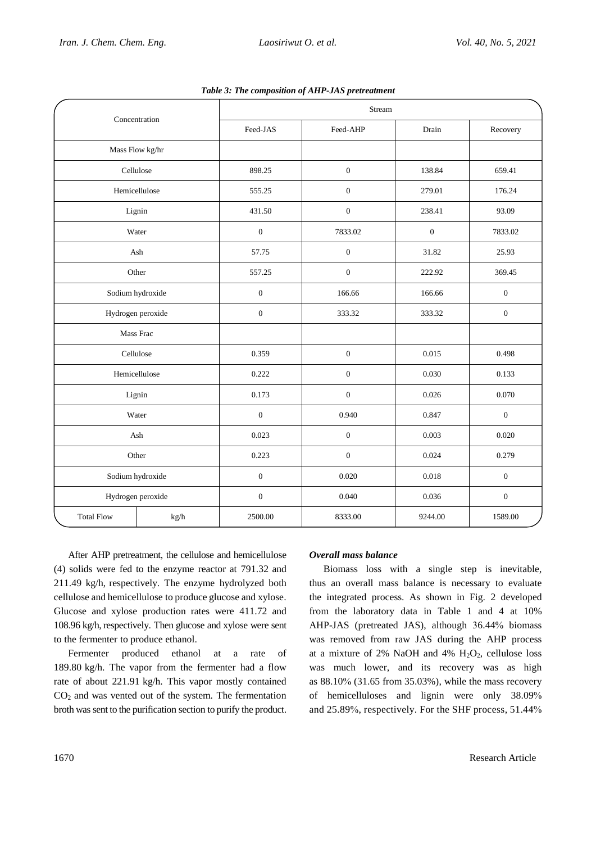| Concentration     |               | Stream           |                         |         |                  |  |
|-------------------|---------------|------------------|-------------------------|---------|------------------|--|
|                   |               | Feed-JAS         | Feed-AHP                | Drain   | Recovery         |  |
| Mass Flow kg/hr   |               |                  |                         |         |                  |  |
|                   | Cellulose     | 898.25           | $\boldsymbol{0}$        | 138.84  | 659.41           |  |
|                   | Hemicellulose | 555.25           | $\boldsymbol{0}$        | 279.01  | 176.24           |  |
|                   | Lignin        | 431.50           | $\boldsymbol{0}$        | 238.41  | 93.09            |  |
|                   | Water         | $\boldsymbol{0}$ | 7833.02<br>$\mathbf{0}$ |         | 7833.02          |  |
| Ash               |               | 57.75            | $\boldsymbol{0}$        | 31.82   | 25.93            |  |
| Other             |               | 557.25           | $\boldsymbol{0}$        | 222.92  | 369.45           |  |
| Sodium hydroxide  |               | $\boldsymbol{0}$ | 166.66                  | 166.66  | $\boldsymbol{0}$ |  |
| Hydrogen peroxide |               | $\boldsymbol{0}$ | 333.32                  | 333.32  | $\boldsymbol{0}$ |  |
| Mass Frac         |               |                  |                         |         |                  |  |
| Cellulose         |               | 0.359            | $\boldsymbol{0}$        | 0.015   | 0.498            |  |
| Hemicellulose     |               | 0.222            | $\boldsymbol{0}$        | 0.030   | 0.133            |  |
| Lignin            |               | 0.173            | $\overline{0}$          | 0.026   | 0.070            |  |
| Water             |               | $\boldsymbol{0}$ | 0.940                   | 0.847   | $\boldsymbol{0}$ |  |
| Ash               |               | 0.023            | $\boldsymbol{0}$        | 0.003   | 0.020            |  |
| Other             |               | 0.223            | $\boldsymbol{0}$        | 0.024   | 0.279            |  |
| Sodium hydroxide  |               | $\boldsymbol{0}$ | 0.020                   | 0.018   | $\boldsymbol{0}$ |  |
| Hydrogen peroxide |               | $\boldsymbol{0}$ | 0.040                   | 0.036   | $\boldsymbol{0}$ |  |
| <b>Total Flow</b> | kg/h          | 2500.00          | 8333.00                 | 9244.00 | 1589.00          |  |

*Table 3: The composition of AHP-JAS pretreatment*

After AHP pretreatment, the cellulose and hemicellulose (4) solids were fed to the enzyme reactor at 791.32 and 211.49 kg/h, respectively. The enzyme hydrolyzed both cellulose and hemicellulose to produce glucose and xylose. Glucose and xylose production rates were 411.72 and 108.96 kg/h, respectively. Then glucose and xylose were sent to the fermenter to produce ethanol.

Fermenter produced ethanol at a rate of 189.80 kg/h. The vapor from the fermenter had a flow rate of about 221.91 kg/h. This vapor mostly contained CO<sup>2</sup> and was vented out of the system. The fermentation broth was sent to the purification section to purify the product.

# *Overall mass balance*

Biomass loss with a single step is inevitable, thus an overall mass balance is necessary to evaluate the integrated process. As shown in Fig. 2 developed from the laboratory data in Table 1 and 4 at 10% AHP-JAS (pretreated JAS), although 36.44% biomass was removed from raw JAS during the AHP process at a mixture of 2% NaOH and 4%  $H_2O_2$ , cellulose loss was much lower, and its recovery was as high as 88.10% (31.65 from 35.03%), while the mass recovery of hemicelluloses and lignin were only 38.09% and 25.89%, respectively. For the SHF process, 51.44%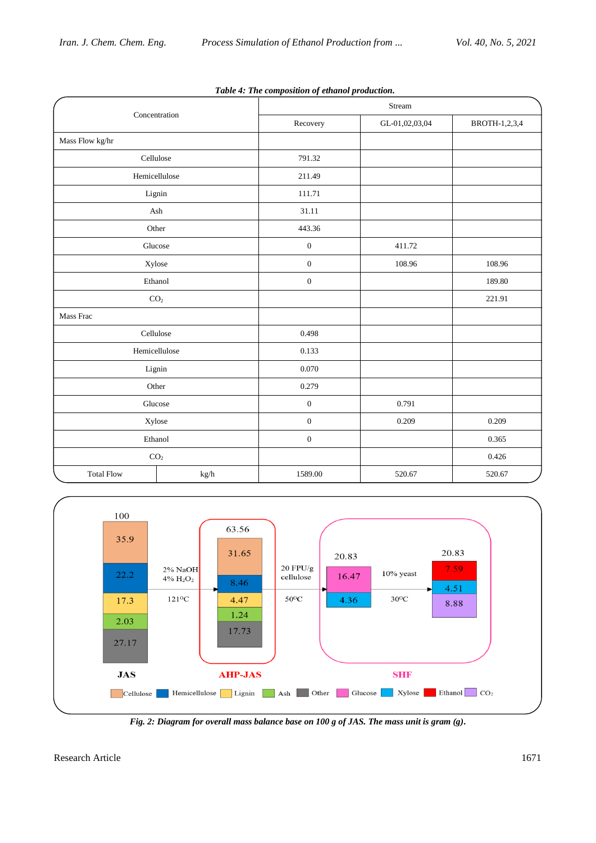| Concentration     |               | Stream           |                |               |  |  |
|-------------------|---------------|------------------|----------------|---------------|--|--|
|                   |               | Recovery         | GL-01,02,03,04 | BROTH-1,2,3,4 |  |  |
| Mass Flow kg/hr   |               |                  |                |               |  |  |
|                   | Cellulose     | 791.32           |                |               |  |  |
|                   | Hemicellulose | 211.49           |                |               |  |  |
|                   | Lignin        | 111.71           |                |               |  |  |
|                   | Ash           | 31.11            |                |               |  |  |
|                   | Other         | 443.36           |                |               |  |  |
|                   | Glucose       | $\boldsymbol{0}$ | 411.72         |               |  |  |
| Xylose            |               | $\boldsymbol{0}$ | 108.96         | 108.96        |  |  |
| Ethanol           |               | $\mathbf{0}$     |                | 189.80        |  |  |
| CO <sub>2</sub>   |               |                  |                | 221.91        |  |  |
| Mass Frac         |               |                  |                |               |  |  |
|                   | Cellulose     | 0.498            |                |               |  |  |
| Hemicellulose     |               | 0.133            |                |               |  |  |
| Lignin            |               | 0.070            |                |               |  |  |
| Other             |               | 0.279            |                |               |  |  |
|                   | Glucose       | $\boldsymbol{0}$ | 0.791          |               |  |  |
| Xylose            |               | $\boldsymbol{0}$ | 0.209          | 0.209         |  |  |
| Ethanol           |               | $\mathbf{0}$     |                | 0.365         |  |  |
| CO <sub>2</sub>   |               |                  |                | 0.426         |  |  |
| <b>Total Flow</b> | $\,kg/h$      | 1589.00          | 520.67         | 520.67        |  |  |





*Fig. 2: Diagram for overall mass balance base on 100 g of JAS. The mass unit is gram (g).*

Research Article 1671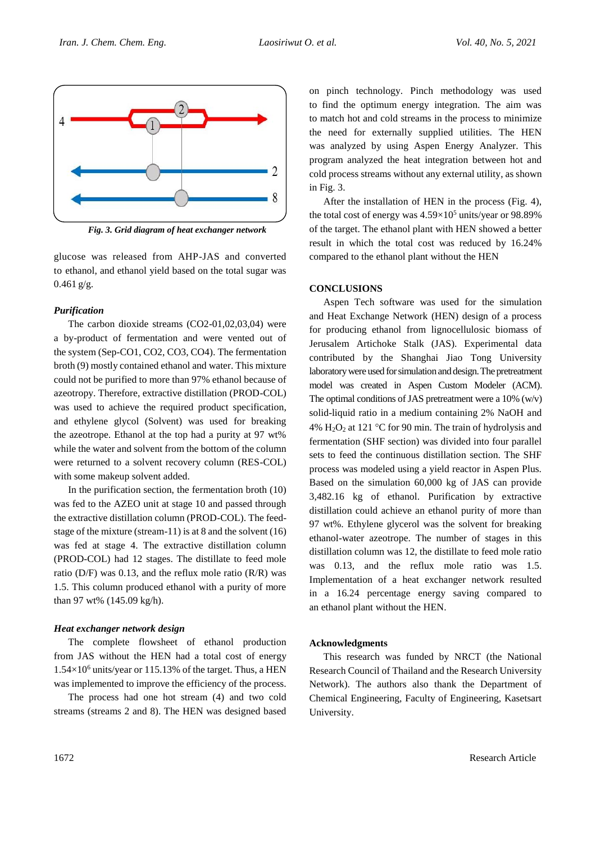

*Fig. 3. Grid diagram of heat exchanger network*

glucose was released from AHP-JAS and converted to ethanol, and ethanol yield based on the total sugar was  $0.461$  g/g.

# *Purification*

The carbon dioxide streams (CO2-01,02,03,04) were a by-product of fermentation and were vented out of the system (Sep-CO1, CO2, CO3, CO4). The fermentation broth (9) mostly contained ethanol and water. This mixture could not be purified to more than 97% ethanol because of azeotropy. Therefore, extractive distillation (PROD-COL) was used to achieve the required product specification, and ethylene glycol (Solvent) was used for breaking the azeotrope. Ethanol at the top had a purity at 97 wt% while the water and solvent from the bottom of the column were returned to a solvent recovery column (RES-COL) with some makeup solvent added.

In the purification section, the fermentation broth (10) was fed to the AZEO unit at stage 10 and passed through the extractive distillation column (PROD-COL). The feedstage of the mixture (stream-11) is at 8 and the solvent (16) was fed at stage 4. The extractive distillation column (PROD-COL) had 12 stages. The distillate to feed mole ratio ( $D/F$ ) was 0.13, and the reflux mole ratio ( $R/R$ ) was 1.5. This column produced ethanol with a purity of more than 97 wt% (145.09 kg/h).

## *Heat exchanger network design*

The complete flowsheet of ethanol production from JAS without the HEN had a total cost of energy  $1.54\times10^6$  units/year or 115.13% of the target. Thus, a HEN was implemented to improve the efficiency of the process.

The process had one hot stream (4) and two cold streams (streams 2 and 8). The HEN was designed based on pinch technology. Pinch methodology was used to find the optimum energy integration. The aim was to match hot and cold streams in the process to minimize the need for externally supplied utilities. The HEN was analyzed by using Aspen Energy Analyzer. This program analyzed the heat integration between hot and cold process streams without any external utility, as shown in Fig. 3.

After the installation of HEN in the process (Fig. 4), the total cost of energy was  $4.59\times10^5$  units/year or 98.89% of the target. The ethanol plant with HEN showed a better result in which the total cost was reduced by 16.24% compared to the ethanol plant without the HEN

## **CONCLUSIONS**

Aspen Tech software was used for the simulation and Heat Exchange Network (HEN) design of a process for producing ethanol from lignocellulosic biomass of Jerusalem Artichoke Stalk (JAS). Experimental data contributed by the Shanghai Jiao Tong University laboratory were used for simulation and design. The pretreatment model was created in Aspen Custom Modeler (ACM). The optimal conditions of JAS pretreatment were a 10% (w/v) solid-liquid ratio in a medium containing 2% NaOH and 4%  $H_2O_2$  at 121 °C for 90 min. The train of hydrolysis and fermentation (SHF section) was divided into four parallel sets to feed the continuous distillation section. The SHF process was modeled using a yield reactor in Aspen Plus. Based on the simulation 60,000 kg of JAS can provide 3,482.16 kg of ethanol. Purification by extractive distillation could achieve an ethanol purity of more than 97 wt%. Ethylene glycerol was the solvent for breaking ethanol-water azeotrope. The number of stages in this distillation column was 12, the distillate to feed mole ratio was 0.13, and the reflux mole ratio was 1.5. Implementation of a heat exchanger network resulted in a 16.24 percentage energy saving compared to an ethanol plant without the HEN.

## **Acknowledgments**

This research was funded by NRCT (the National Research Council of Thailand and the Research University Network). The authors also thank the Department of Chemical Engineering, Faculty of Engineering, Kasetsart University.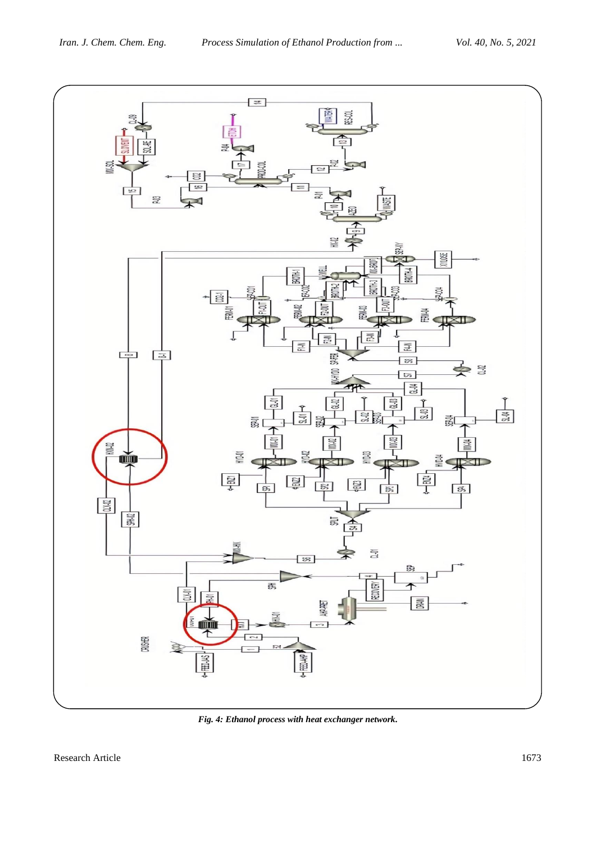

*Fig. 4: Ethanol process with heat exchanger network.*